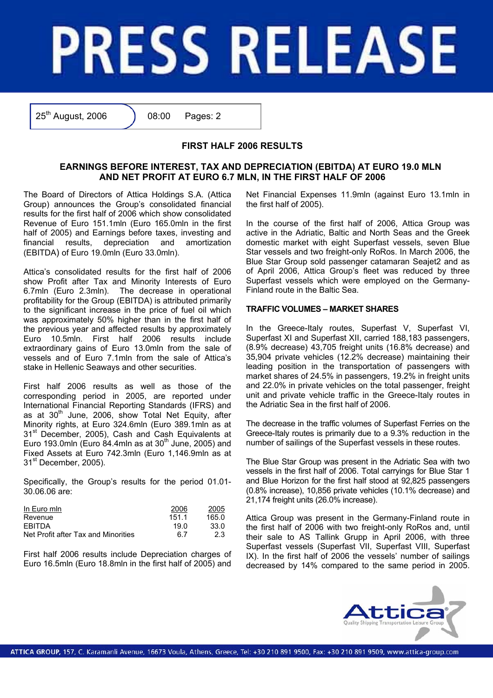# **PRESS RELEASE**

25<sup>th</sup> August, 2006 <br> 08:00 Pages: 2

# **FIRST HALF 2006 RESULTS**

# **EARNINGS BEFORE INTEREST, TAX AND DEPRECIATION (EBITDA) AT EURO 19.0 MLN AND NET PROFIT AT EURO 6.7 MLN, IN THE FIRST HALF OF 2006**

The Board of Directors of Attica Holdings S.A. (Attica Group) announces the Group's consolidated financial results for the first half of 2006 which show consolidated Revenue of Euro 151.1mln (Euro 165.0mln in the first half of 2005) and Earnings before taxes, investing and financial results, depreciation and amortization (EBITDA) of Euro 19.0mln (Euro 33.0mln).

Attica's consolidated results for the first half of 2006 show Profit after Tax and Minority Interests of Euro 6.7mln (Euro 2.3mln). The decrease in operational profitability for the Group (EBITDA) is attributed primarily to the significant increase in the price of fuel oil which was approximately 50% higher than in the first half of the previous year and affected results by approximately Euro 10.5mln. First half 2006 results include extraordinary gains of Euro 13.0mln from the sale of vessels and of Euro 7.1mln from the sale of Attica's stake in Hellenic Seaways and other securities.

First half 2006 results as well as those of the corresponding period in 2005, are reported under International Financial Reporting Standards (IFRS) and as at 30<sup>th</sup> June, 2006, show Total Net Equity, after Minority rights, at Euro 324.6mln (Euro 389.1mln as at 31<sup>st</sup> December, 2005), Cash and Cash Equivalents at Euro 193.0mln (Euro 84.4mln as at  $30<sup>th</sup>$  June, 2005) and Fixed Assets at Euro 742.3mln (Euro 1,146.9mln as at 31<sup>st</sup> December, 2005).

Specifically, the Group's results for the period 01.01- 30.06.06 are:

| In Euro min                         | 2006  | 2005  |
|-------------------------------------|-------|-------|
| Revenue                             | 151.1 | 165.0 |
| <b>FRITDA</b>                       | 19.0  | 33.0  |
| Net Profit after Tax and Minorities | 6 7   | 2.3   |

First half 2006 results include Depreciation charges of Euro 16.5mln (Euro 18.8mln in the first half of 2005) and

Net Financial Expenses 11.9mln (against Euro 13.1mln in the first half of 2005).

In the course of the first half of 2006, Attica Group was active in the Adriatic, Baltic and North Seas and the Greek domestic market with eight Superfast vessels, seven Blue Star vessels and two freight-only RoRos. In March 2006, the Blue Star Group sold passenger catamaran Seajet2 and as of April 2006, Attica Group's fleet was reduced by three Superfast vessels which were employed on the Germany-Finland route in the Baltic Sea.

### **TRAFFIC VOLUMES – MARKET SHARES**

In the Greece-Italy routes, Superfast V, Superfast VI, Superfast XI and Superfast XII, carried 188,183 passengers, (8.9% decrease) 43,705 freight units (16.8% decrease) and 35,904 private vehicles (12.2% decrease) maintaining their leading position in the transportation of passengers with market shares of 24.5% in passengers, 19.2% in freight units and 22.0% in private vehicles on the total passenger, freight unit and private vehicle traffic in the Greece-Italy routes in the Adriatic Sea in the first half of 2006.

The decrease in the traffic volumes of Superfast Ferries on the Greece-Italy routes is primarily due to a 9.3% reduction in the number of sailings of the Superfast vessels in these routes.

The Blue Star Group was present in the Adriatic Sea with two vessels in the first half of 2006. Total carryings for Blue Star 1 and Blue Horizon for the first half stood at 92,825 passengers (0.8% increase), 10,856 private vehicles (10.1% decrease) and 21,174 freight units (26.0% increase).

Attica Group was present in the Germany-Finland route in the first half of 2006 with two freight-only RoRos and, until their sale to AS Tallink Grupp in April 2006, with three Superfast vessels (Superfast VII, Superfast VIII, Superfast IX). In the first half of 2006 the vessels' number of sailings decreased by 14% compared to the same period in 2005.